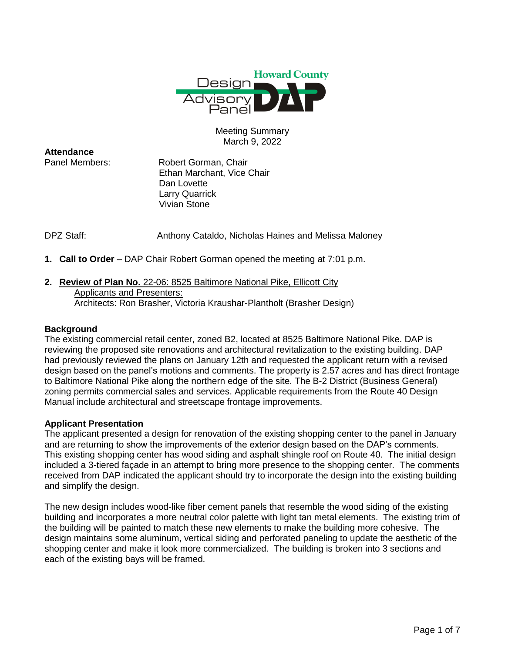

## Meeting Summary March 9, 2022

**Attendance**

Panel Members: Robert Gorman, Chair Ethan Marchant, Vice Chair Dan Lovette Larry Quarrick Vivian Stone

DPZ Staff: Anthony Cataldo, Nicholas Haines and Melissa Maloney

**1. Call to Order** – DAP Chair Robert Gorman opened the meeting at 7:01 p.m.

#### **2. Review of Plan No.** 22-06: 8525 Baltimore National Pike, Ellicott City Applicants and Presenters: Architects: Ron Brasher, Victoria Kraushar-Plantholt (Brasher Design)

## **Background**

The existing commercial retail center, zoned B2, located at 8525 Baltimore National Pike. DAP is reviewing the proposed site renovations and architectural revitalization to the existing building. DAP had previously reviewed the plans on January 12th and requested the applicant return with a revised design based on the panel's motions and comments. The property is 2.57 acres and has direct frontage to Baltimore National Pike along the northern edge of the site. The B-2 District (Business General) zoning permits commercial sales and services. Applicable requirements from the Route 40 Design Manual include architectural and streetscape frontage improvements.

### **Applicant Presentation**

The applicant presented a design for renovation of the existing shopping center to the panel in January and are returning to show the improvements of the exterior design based on the DAP's comments. This existing shopping center has wood siding and asphalt shingle roof on Route 40. The initial design included a 3-tiered façade in an attempt to bring more presence to the shopping center. The comments received from DAP indicated the applicant should try to incorporate the design into the existing building and simplify the design.

The new design includes wood-like fiber cement panels that resemble the wood siding of the existing building and incorporates a more neutral color palette with light tan metal elements. The existing trim of the building will be painted to match these new elements to make the building more cohesive. The design maintains some aluminum, vertical siding and perforated paneling to update the aesthetic of the shopping center and make it look more commercialized. The building is broken into 3 sections and each of the existing bays will be framed.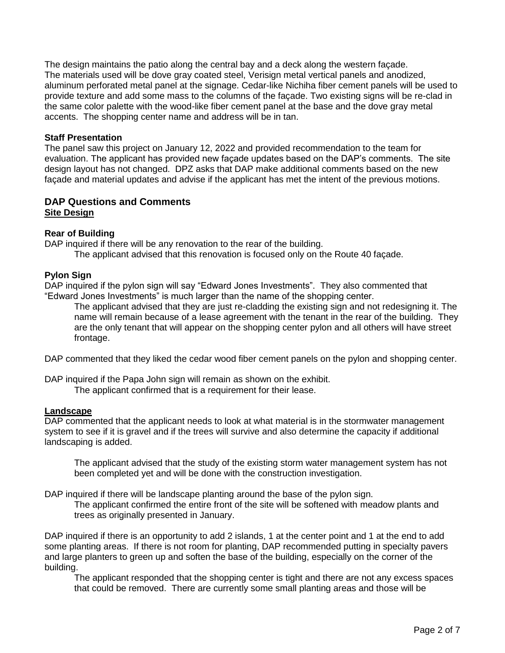The design maintains the patio along the central bay and a deck along the western façade. The materials used will be dove gray coated steel, Verisign metal vertical panels and anodized, aluminum perforated metal panel at the signage. Cedar-like Nichiha fiber cement panels will be used to provide texture and add some mass to the columns of the façade. Two existing signs will be re-clad in the same color palette with the wood-like fiber cement panel at the base and the dove gray metal accents. The shopping center name and address will be in tan.

### **Staff Presentation**

The panel saw this project on January 12, 2022 and provided recommendation to the team for evaluation. The applicant has provided new façade updates based on the DAP's comments. The site design layout has not changed. DPZ asks that DAP make additional comments based on the new façade and material updates and advise if the applicant has met the intent of the previous motions.

# **DAP Questions and Comments Site Design**

## **Rear of Building**

DAP inquired if there will be any renovation to the rear of the building.

The applicant advised that this renovation is focused only on the Route 40 façade.

## **Pylon Sign**

DAP inquired if the pylon sign will say "Edward Jones Investments". They also commented that "Edward Jones Investments" is much larger than the name of the shopping center.

The applicant advised that they are just re-cladding the existing sign and not redesigning it. The name will remain because of a lease agreement with the tenant in the rear of the building. They are the only tenant that will appear on the shopping center pylon and all others will have street frontage.

DAP commented that they liked the cedar wood fiber cement panels on the pylon and shopping center.

DAP inquired if the Papa John sign will remain as shown on the exhibit. The applicant confirmed that is a requirement for their lease.

### **Landscape**

DAP commented that the applicant needs to look at what material is in the stormwater management system to see if it is gravel and if the trees will survive and also determine the capacity if additional landscaping is added.

The applicant advised that the study of the existing storm water management system has not been completed yet and will be done with the construction investigation.

DAP inquired if there will be landscape planting around the base of the pylon sign.

The applicant confirmed the entire front of the site will be softened with meadow plants and trees as originally presented in January.

DAP inquired if there is an opportunity to add 2 islands, 1 at the center point and 1 at the end to add some planting areas. If there is not room for planting, DAP recommended putting in specialty pavers and large planters to green up and soften the base of the building, especially on the corner of the building.

The applicant responded that the shopping center is tight and there are not any excess spaces that could be removed. There are currently some small planting areas and those will be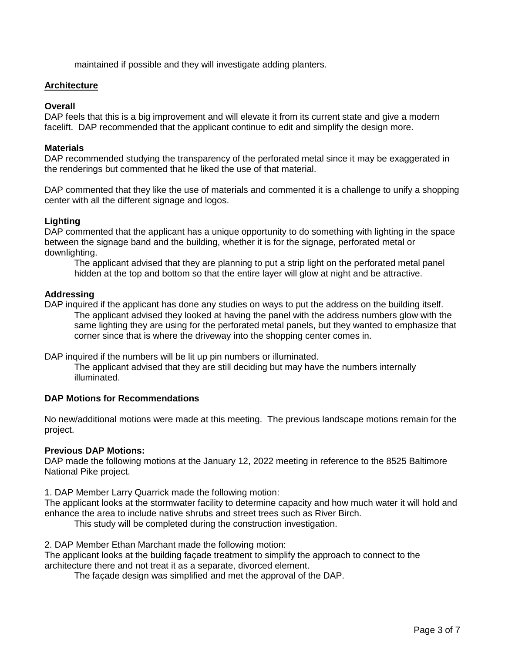maintained if possible and they will investigate adding planters.

## **Architecture**

### **Overall**

DAP feels that this is a big improvement and will elevate it from its current state and give a modern facelift. DAP recommended that the applicant continue to edit and simplify the design more.

## **Materials**

DAP recommended studying the transparency of the perforated metal since it may be exaggerated in the renderings but commented that he liked the use of that material.

DAP commented that they like the use of materials and commented it is a challenge to unify a shopping center with all the different signage and logos.

## **Lighting**

DAP commented that the applicant has a unique opportunity to do something with lighting in the space between the signage band and the building, whether it is for the signage, perforated metal or downlighting.

The applicant advised that they are planning to put a strip light on the perforated metal panel hidden at the top and bottom so that the entire layer will glow at night and be attractive.

## **Addressing**

DAP inquired if the applicant has done any studies on ways to put the address on the building itself. The applicant advised they looked at having the panel with the address numbers glow with the same lighting they are using for the perforated metal panels, but they wanted to emphasize that corner since that is where the driveway into the shopping center comes in.

DAP inquired if the numbers will be lit up pin numbers or illuminated.

The applicant advised that they are still deciding but may have the numbers internally illuminated.

### **DAP Motions for Recommendations**

No new/additional motions were made at this meeting. The previous landscape motions remain for the project.

### **Previous DAP Motions:**

DAP made the following motions at the January 12, 2022 meeting in reference to the 8525 Baltimore National Pike project.

1. DAP Member Larry Quarrick made the following motion:

The applicant looks at the stormwater facility to determine capacity and how much water it will hold and enhance the area to include native shrubs and street trees such as River Birch.

This study will be completed during the construction investigation.

2. DAP Member Ethan Marchant made the following motion:

The applicant looks at the building façade treatment to simplify the approach to connect to the architecture there and not treat it as a separate, divorced element.

The façade design was simplified and met the approval of the DAP.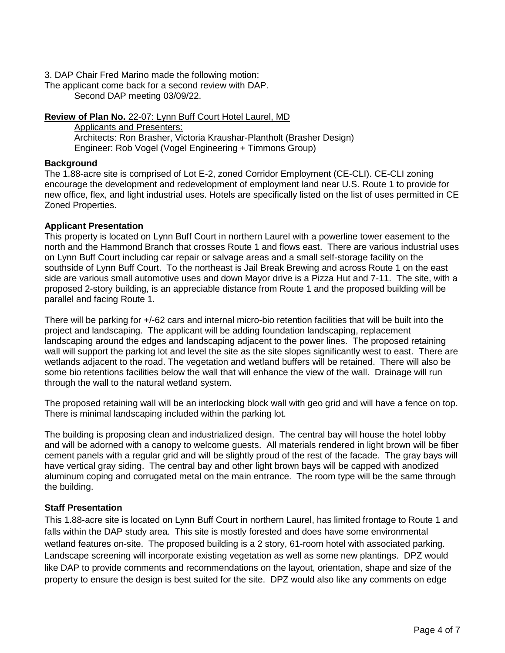3. DAP Chair Fred Marino made the following motion:

The applicant come back for a second review with DAP. Second DAP meeting 03/09/22.

**Review of Plan No.** 22-07: Lynn Buff Court Hotel Laurel, MD

Applicants and Presenters: Architects: Ron Brasher, Victoria Kraushar-Plantholt (Brasher Design) Engineer: Rob Vogel (Vogel Engineering + Timmons Group)

## **Background**

The 1.88-acre site is comprised of Lot E-2, zoned Corridor Employment (CE-CLI). CE-CLI zoning encourage the development and redevelopment of employment land near U.S. Route 1 to provide for new office, flex, and light industrial uses. Hotels are specifically listed on the list of uses permitted in CE Zoned Properties.

## **Applicant Presentation**

This property is located on Lynn Buff Court in northern Laurel with a powerline tower easement to the north and the Hammond Branch that crosses Route 1 and flows east. There are various industrial uses on Lynn Buff Court including car repair or salvage areas and a small self-storage facility on the southside of Lynn Buff Court. To the northeast is Jail Break Brewing and across Route 1 on the east side are various small automotive uses and down Mayor drive is a Pizza Hut and 7-11. The site, with a proposed 2-story building, is an appreciable distance from Route 1 and the proposed building will be parallel and facing Route 1.

There will be parking for +/-62 cars and internal micro-bio retention facilities that will be built into the project and landscaping. The applicant will be adding foundation landscaping, replacement landscaping around the edges and landscaping adjacent to the power lines. The proposed retaining wall will support the parking lot and level the site as the site slopes significantly west to east. There are wetlands adjacent to the road. The vegetation and wetland buffers will be retained. There will also be some bio retentions facilities below the wall that will enhance the view of the wall. Drainage will run through the wall to the natural wetland system.

The proposed retaining wall will be an interlocking block wall with geo grid and will have a fence on top. There is minimal landscaping included within the parking lot.

The building is proposing clean and industrialized design. The central bay will house the hotel lobby and will be adorned with a canopy to welcome guests. All materials rendered in light brown will be fiber cement panels with a regular grid and will be slightly proud of the rest of the facade. The gray bays will have vertical gray siding. The central bay and other light brown bays will be capped with anodized aluminum coping and corrugated metal on the main entrance. The room type will be the same through the building.

## **Staff Presentation**

This 1.88-acre site is located on Lynn Buff Court in northern Laurel, has limited frontage to Route 1 and falls within the DAP study area. This site is mostly forested and does have some environmental wetland features on-site. The proposed building is a 2 story, 61-room hotel with associated parking. Landscape screening will incorporate existing vegetation as well as some new plantings. DPZ would like DAP to provide comments and recommendations on the layout, orientation, shape and size of the property to ensure the design is best suited for the site. DPZ would also like any comments on edge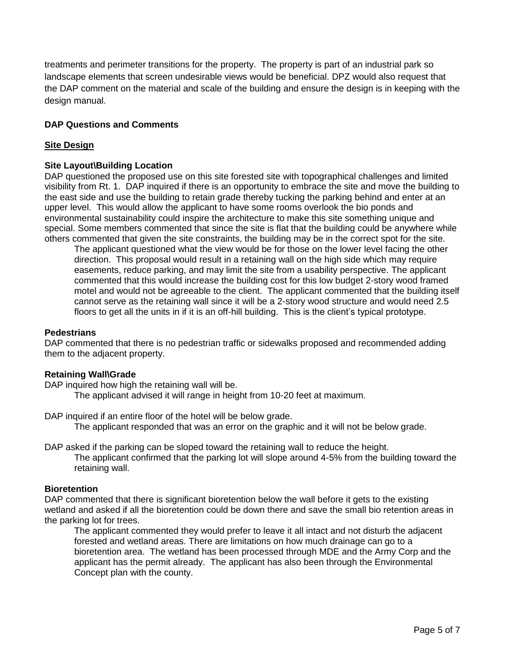treatments and perimeter transitions for the property. The property is part of an industrial park so landscape elements that screen undesirable views would be beneficial. DPZ would also request that the DAP comment on the material and scale of the building and ensure the design is in keeping with the design manual.

# **DAP Questions and Comments**

## **Site Design**

## **Site Layout\Building Location**

DAP questioned the proposed use on this site forested site with topographical challenges and limited visibility from Rt. 1. DAP inquired if there is an opportunity to embrace the site and move the building to the east side and use the building to retain grade thereby tucking the parking behind and enter at an upper level. This would allow the applicant to have some rooms overlook the bio ponds and environmental sustainability could inspire the architecture to make this site something unique and special. Some members commented that since the site is flat that the building could be anywhere while others commented that given the site constraints, the building may be in the correct spot for the site.

The applicant questioned what the view would be for those on the lower level facing the other direction. This proposal would result in a retaining wall on the high side which may require easements, reduce parking, and may limit the site from a usability perspective. The applicant commented that this would increase the building cost for this low budget 2-story wood framed motel and would not be agreeable to the client. The applicant commented that the building itself cannot serve as the retaining wall since it will be a 2-story wood structure and would need 2.5 floors to get all the units in if it is an off-hill building. This is the client's typical prototype.

### **Pedestrians**

DAP commented that there is no pedestrian traffic or sidewalks proposed and recommended adding them to the adjacent property.

### **Retaining Wall\Grade**

DAP inquired how high the retaining wall will be.

The applicant advised it will range in height from 10-20 feet at maximum.

DAP inquired if an entire floor of the hotel will be below grade.

The applicant responded that was an error on the graphic and it will not be below grade.

DAP asked if the parking can be sloped toward the retaining wall to reduce the height.

The applicant confirmed that the parking lot will slope around 4-5% from the building toward the retaining wall.

### **Bioretention**

DAP commented that there is significant bioretention below the wall before it gets to the existing wetland and asked if all the bioretention could be down there and save the small bio retention areas in the parking lot for trees.

The applicant commented they would prefer to leave it all intact and not disturb the adjacent forested and wetland areas. There are limitations on how much drainage can go to a bioretention area. The wetland has been processed through MDE and the Army Corp and the applicant has the permit already. The applicant has also been through the Environmental Concept plan with the county.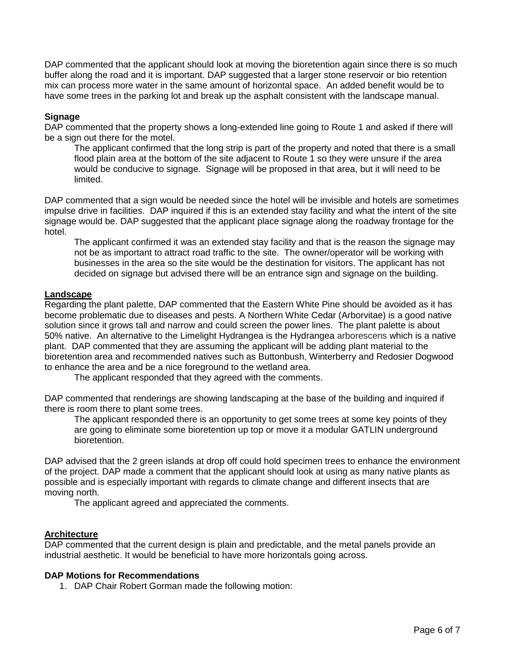DAP commented that the applicant should look at moving the bioretention again since there is so much buffer along the road and it is important. DAP suggested that a larger stone reservoir or bio retention mix can process more water in the same amount of horizontal space. An added benefit would be to have some trees in the parking lot and break up the asphalt consistent with the landscape manual.

## **Signage**

DAP commented that the property shows a long-extended line going to Route 1 and asked if there will be a sign out there for the motel.

The applicant confirmed that the long strip is part of the property and noted that there is a small flood plain area at the bottom of the site adjacent to Route 1 so they were unsure if the area would be conducive to signage. Signage will be proposed in that area, but it will need to be limited.

DAP commented that a sign would be needed since the hotel will be invisible and hotels are sometimes impulse drive in facilities. DAP inquired if this is an extended stay facility and what the intent of the site signage would be. DAP suggested that the applicant place signage along the roadway frontage for the hotel.

The applicant confirmed it was an extended stay facility and that is the reason the signage may not be as important to attract road traffic to the site. The owner/operator will be working with businesses in the area so the site would be the destination for visitors. The applicant has not decided on signage but advised there will be an entrance sign and signage on the building.

## **Landscape**

Regarding the plant palette, DAP commented that the Eastern White Pine should be avoided as it has become problematic due to diseases and pests. A Northern White Cedar (Arborvitae) is a good native solution since it grows tall and narrow and could screen the power lines. The plant palette is about 50% native. An alternative to the Limelight Hydrangea is the Hydrangea arborescens which is a native plant. DAP commented that they are assuming the applicant will be adding plant material to the bioretention area and recommended natives such as Buttonbush, Winterberry and Redosier Dogwood to enhance the area and be a nice foreground to the wetland area.

The applicant responded that they agreed with the comments.

DAP commented that renderings are showing landscaping at the base of the building and inquired if there is room there to plant some trees.

The applicant responded there is an opportunity to get some trees at some key points of they are going to eliminate some bioretention up top or move it a modular GATLIN underground bioretention.

DAP advised that the 2 green islands at drop off could hold specimen trees to enhance the environment of the project. DAP made a comment that the applicant should look at using as many native plants as possible and is especially important with regards to climate change and different insects that are moving north.

The applicant agreed and appreciated the comments.

### **Architecture**

DAP commented that the current design is plain and predictable, and the metal panels provide an industrial aesthetic. It would be beneficial to have more horizontals going across.

## **DAP Motions for Recommendations**

1. DAP Chair Robert Gorman made the following motion: